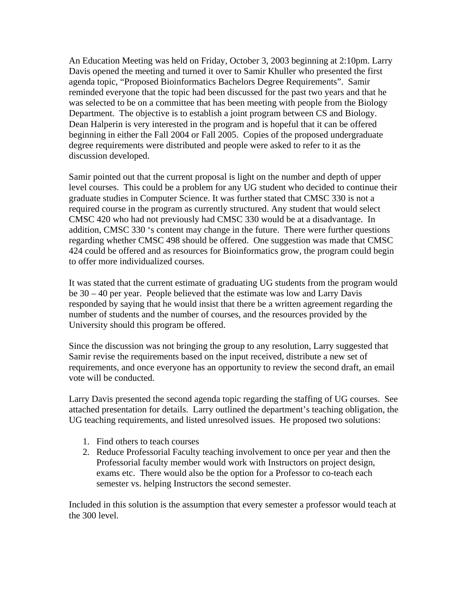An Education Meeting was held on Friday, October 3, 2003 beginning at 2:10pm. Larry Davis opened the meeting and turned it over to Samir Khuller who presented the first agenda topic, "Proposed Bioinformatics Bachelors Degree Requirements". Samir reminded everyone that the topic had been discussed for the past two years and that he was selected to be on a committee that has been meeting with people from the Biology Department. The objective is to establish a joint program between CS and Biology. Dean Halperin is very interested in the program and is hopeful that it can be offered beginning in either the Fall 2004 or Fall 2005. Copies of the proposed undergraduate degree requirements were distributed and people were asked to refer to it as the discussion developed.

Samir pointed out that the current proposal is light on the number and depth of upper level courses. This could be a problem for any UG student who decided to continue their graduate studies in Computer Science. It was further stated that CMSC 330 is not a required course in the program as currently structured. Any student that would select CMSC 420 who had not previously had CMSC 330 would be at a disadvantage. In addition, CMSC 330 's content may change in the future. There were further questions regarding whether CMSC 498 should be offered. One suggestion was made that CMSC 424 could be offered and as resources for Bioinformatics grow, the program could begin to offer more individualized courses.

It was stated that the current estimate of graduating UG students from the program would be 30 – 40 per year. People believed that the estimate was low and Larry Davis responded by saying that he would insist that there be a written agreement regarding the number of students and the number of courses, and the resources provided by the University should this program be offered.

Since the discussion was not bringing the group to any resolution, Larry suggested that Samir revise the requirements based on the input received, distribute a new set of requirements, and once everyone has an opportunity to review the second draft, an email vote will be conducted.

Larry Davis presented the second agenda topic regarding the staffing of UG courses. See attached presentation for details. Larry outlined the department's teaching obligation, the UG teaching requirements, and listed unresolved issues. He proposed two solutions:

- 1. Find others to teach courses
- 2. Reduce Professorial Faculty teaching involvement to once per year and then the Professorial faculty member would work with Instructors on project design, exams etc. There would also be the option for a Professor to co-teach each semester vs. helping Instructors the second semester.

Included in this solution is the assumption that every semester a professor would teach at the 300 level.